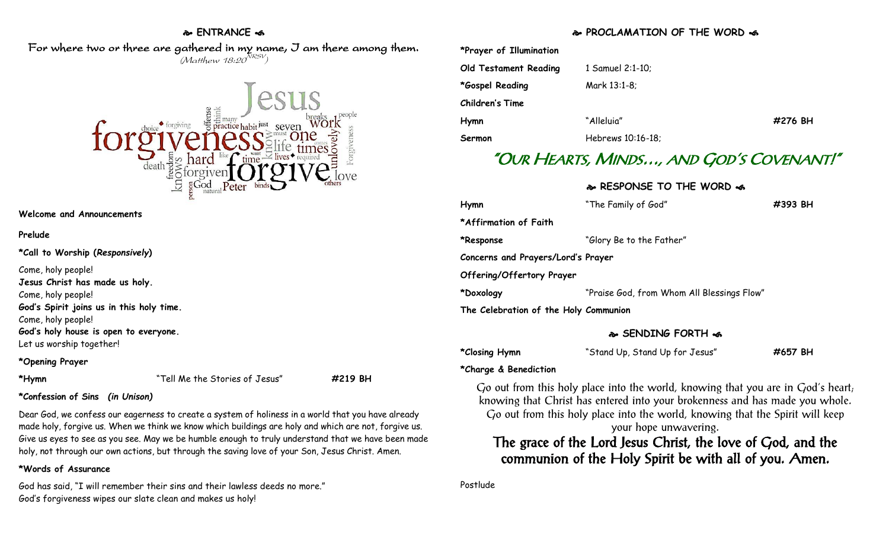## **ENTRANCE**

### For where two or three are gathered in my name, I am there among them.  $(M$ atthew 18:20 $^{NRSV})$



**Welcome and Announcements**

#### **Prelude**

**\*Call to Worship (***Responsively***)** 

Come, holy people!

**Jesus Christ has made us holy.**

Come, holy people!

**God's Spirit joins us in this holy time.**

Come, holy people!

**God's holy house is open to everyone.**

Let us worship together!

# **\*Opening Prayer**

**\*Hymn** "Tell Me the Stories of Jesus" **#219 BH**

# **\*Confession of Sins** *(in Unison)*

Dear God, we confess our eagerness to create a system of holiness in a world that you have already made holy, forgive us. When we think we know which buildings are holy and which are not, forgive us. Give us eyes to see as you see. May we be humble enough to truly understand that we have been made holy, not through our own actions, but through the saving love of your Son, Jesus Christ. Amen.

# **\*Words of Assurance**

God has said, "I will remember their sins and their lawless deeds no more." God's forgiveness wipes our slate clean and makes us holy!

# **PROCLAMATION OF THE WORD**

| *Prayer of Illumination      |                   |         |
|------------------------------|-------------------|---------|
| <b>Old Testament Reading</b> | 1 Samuel 2:1-10;  |         |
| *Gospel Reading              | Mark 13:1-8;      |         |
| <b>Children's Time</b>       |                   |         |
| Hymn                         | "Alleluia"        | #276 BH |
| Sermon                       | Hebrews 10:16-18; |         |

# "OUR HEARTS, MINDS…, AND GOD'S COVENANT!"

# **RESPONSE TO THE WORD**

| Hymn                                  | "The Family of God"                        | #393 BH |
|---------------------------------------|--------------------------------------------|---------|
| *Affirmation of Faith                 |                                            |         |
| *Response                             | "Glory Be to the Father"                   |         |
| Concerns and Prayers/Lord's Prayer    |                                            |         |
| Offering/Offertory Prayer             |                                            |         |
| *Doxology                             | "Praise God, from Whom All Blessings Flow" |         |
| The Celebration of the Holy Communion |                                            |         |
|                                       |                                            |         |

# **SENDING FORTH**

| *Closing Hymn | "Stand Up, Stand Up for Jesus" | #657 BH |
|---------------|--------------------------------|---------|
|---------------|--------------------------------|---------|

# **\*Charge & Benediction**

Go out from this holy place into the world, knowing that you are in God's heart; knowing that Christ has entered into your brokenness and has made you whole. Go out from this holy place into the world, knowing that the Spirit will keep your hope unwavering.

# The grace of the Lord Jesus Christ, the love of God, and the communion of the Holy Spirit be with all of you. Amen.

## Postlude